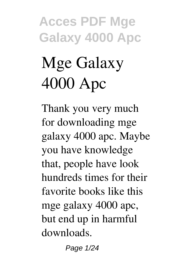# **Mge Galaxy 4000 Apc**

Thank you very much for downloading **mge galaxy 4000 apc**. Maybe you have knowledge that, people have look hundreds times for their favorite books like this mge galaxy 4000 apc, but end up in harmful downloads.

Page 1/24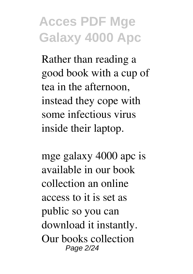Rather than reading a good book with a cup of tea in the afternoon, instead they cope with some infectious virus inside their laptop.

mge galaxy 4000 apc is available in our book collection an online access to it is set as public so you can download it instantly. Our books collection Page 2/24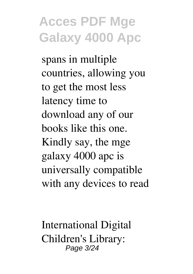spans in multiple countries, allowing you to get the most less latency time to download any of our books like this one. Kindly say, the mge galaxy 4000 apc is universally compatible with any devices to read

International Digital Children's Library: Page 3/24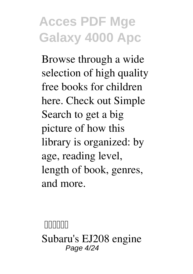Browse through a wide selection of high quality free books for children here. Check out Simple Search to get a big picture of how this library is organized: by age, reading level, length of book, genres, and more.

**Топика** Subaru's EJ208 engine Page 4/24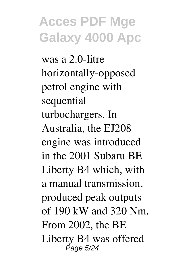was a 2.0-litre horizontally-opposed petrol engine with sequential turbochargers. In Australia, the EJ208 engine was introduced in the 2001 Subaru BE Liberty B4 which, with a manual transmission, produced peak outputs of 190 kW and 320 Nm. From 2002, the BE Liberty B4 was offered Page 5/24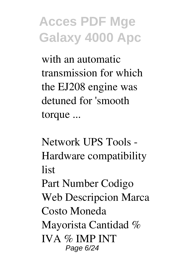with an automatic transmission for which the EJ208 engine was detuned for 'smooth torque ...

**Network UPS Tools - Hardware compatibility list**

Part Number Codigo Web Descripcion Marca Costo Moneda Mayorista Cantidad % IVA % IMP INT Page 6/24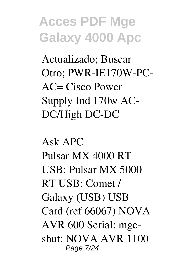Actualizado; Buscar Otro; PWR-IE170W-PC-AC= Cisco Power Supply Ind 170w AC-DC/High DC-DC

**Ask APC** Pulsar MX 4000 RT USB: Pulsar MX 5000 RT USB: Comet / Galaxy (USB) USB Card (ref 66067) NOVA AVR 600 Serial: mgeshut: NOVA AVR 1100 Page 7/24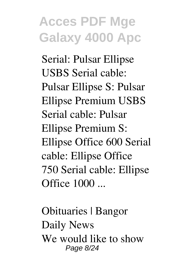Serial: Pulsar Ellipse USBS Serial cable: Pulsar Ellipse S: Pulsar Ellipse Premium USBS Serial cable: Pulsar Ellipse Premium S: Ellipse Office 600 Serial cable: Ellipse Office 750 Serial cable: Ellipse Office 1000 ...

**Obituaries | Bangor Daily News** We would like to show Page 8/24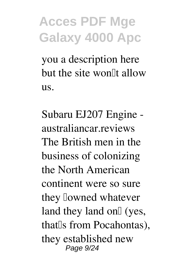you a description here but the site won<sup>[1]</sup> allow us.

**Subaru EJ207 Engine australiancar.reviews** The British men in the business of colonizing the North American continent were so sure they lowned whatever land they land on $\mathbb{I}$  (yes, that<sup>[</sup>s from Pocahontas], they established new Page 9/24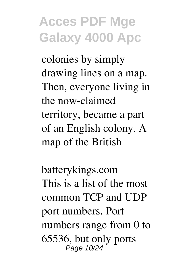colonies by simply drawing lines on a map. Then, everyone living in the now-claimed territory, became a part of an English colony. A map of the British

**batterykings.com** This is a list of the most common TCP and UDP port numbers. Port numbers range from 0 to 65536, but only ports Page 10/24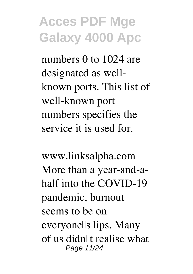numbers 0 to 1024 are designated as wellknown ports. This list of well-known port numbers specifies the service it is used for.

**www.linksalpha.com** More than a year-and-ahalf into the COVID-19 pandemic, burnout seems to be on everyone<sup>[]</sup>s lips. Many of us didn't realise what Page 11/24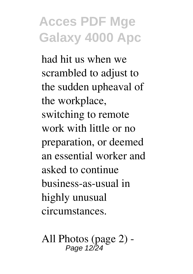had hit us when we scrambled to adjust to the sudden upheaval of the workplace, switching to remote work with little or no preparation, or deemed an essential worker and asked to continue business-as-usual in highly unusual circumstances.

**All Photos (page 2) -** Page 12/24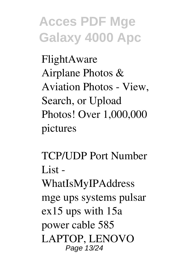**FlightAware** Airplane Photos & Aviation Photos - View, Search, or Upload Photos! Over 1,000,000 pictures

**TCP/UDP Port Number List - WhatIsMyIPAddress** mge ups systems pulsar ex15 ups with 15a power cable 585 LAPTOP, LENOVO Page 13/24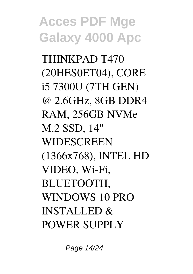THINKPAD T470 (20HES0ET04), CORE i5 7300U (7TH GEN) @ 2.6GHz, 8GB DDR4 RAM, 256GB NVMe M.2 SSD, 14" **WIDESCREEN** (1366x768), INTEL HD VIDEO, Wi-Fi, BLUETOOTH, WINDOWS 10 PRO INSTALLED & POWER SUPPLY

Page 14/24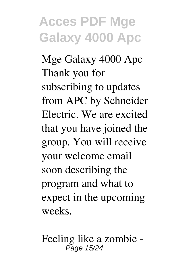**Mge Galaxy 4000 Apc** Thank you for subscribing to updates from APC by Schneider Electric. We are excited that you have joined the group. You will receive your welcome email soon describing the program and what to expect in the upcoming weeks.

**Feeling like a zombie -** Page 15/24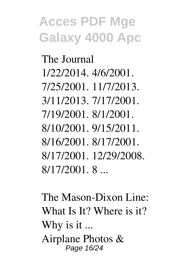**The Journal** 1/22/2014. 4/6/2001. 7/25/2001. 11/7/2013. 3/11/2013. 7/17/2001. 7/19/2001. 8/1/2001. 8/10/2001. 9/15/2011. 8/16/2001. 8/17/2001. 8/17/2001. 12/29/2008. 8/17/2001. 8 ...

**The Mason-Dixon Line: What Is It? Where is it? Why is it ...** Airplane Photos & Page 16/24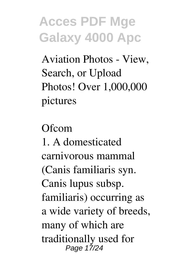Aviation Photos - View, Search, or Upload Photos! Over 1,000,000 pictures

**Ofcom** 1. A domesticated carnivorous mammal (Canis familiaris syn. Canis lupus subsp. familiaris) occurring as a wide variety of breeds, many of which are traditionally used for Page 17/24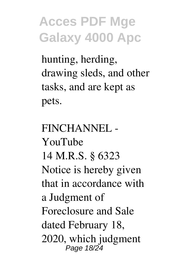hunting, herding, drawing sleds, and other tasks, and are kept as pets.

**FINCHANNEL - YouTube** 14 M.R.S. § 6323 Notice is hereby given that in accordance with a Judgment of Foreclosure and Sale dated February 18, 2020, which judgment Page 18/24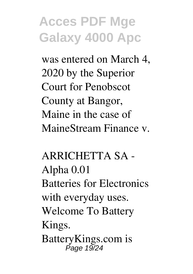was entered on March 4, 2020 by the Superior Court for Penobscot County at Bangor, Maine in the case of MaineStream Finance v.

**ARRICHETTA SA - Alpha 0.01** Batteries for Electronics with everyday uses. Welcome To Battery Kings. BatteryKings.com is Page 19/24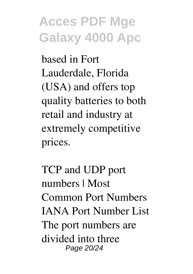based in Fort Lauderdale, Florida (USA) and offers top quality batteries to both retail and industry at extremely competitive prices.

**TCP and UDP port numbers | Most Common Port Numbers** IANA Port Number List The port numbers are divided into three Page 20/24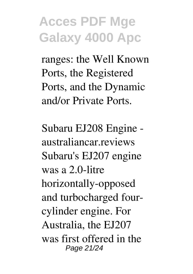ranges: the Well Known Ports, the Registered Ports, and the Dynamic and/or Private Ports.

**Subaru EJ208 Engine australiancar.reviews** Subaru's EJ207 engine was a 2.0-litre horizontally-opposed and turbocharged fourcylinder engine. For Australia, the EJ207 was first offered in the Page 21/24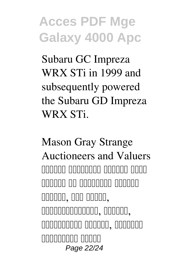Subaru GC Impreza WRX STi in 1999 and subsequently powered the Subaru GD Impreza WRX STi.

**Mason Gray Strange Auctioneers and Valuers** TONIA ANDONIA ANDONIA ANDO candal no opponent nonnen  $\Gamma$ автоматжуулалт, хяналт,  $n$ плаппалап олоппа, поолопп лопополопо попол Page 22/24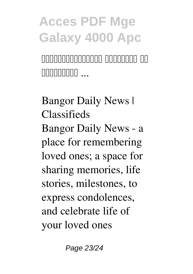nooponooponon opponoopon  $\Box$ 

**Bangor Daily News | Classifieds** Bangor Daily News - a place for remembering loved ones; a space for sharing memories, life stories, milestones, to express condolences, and celebrate life of your loved ones